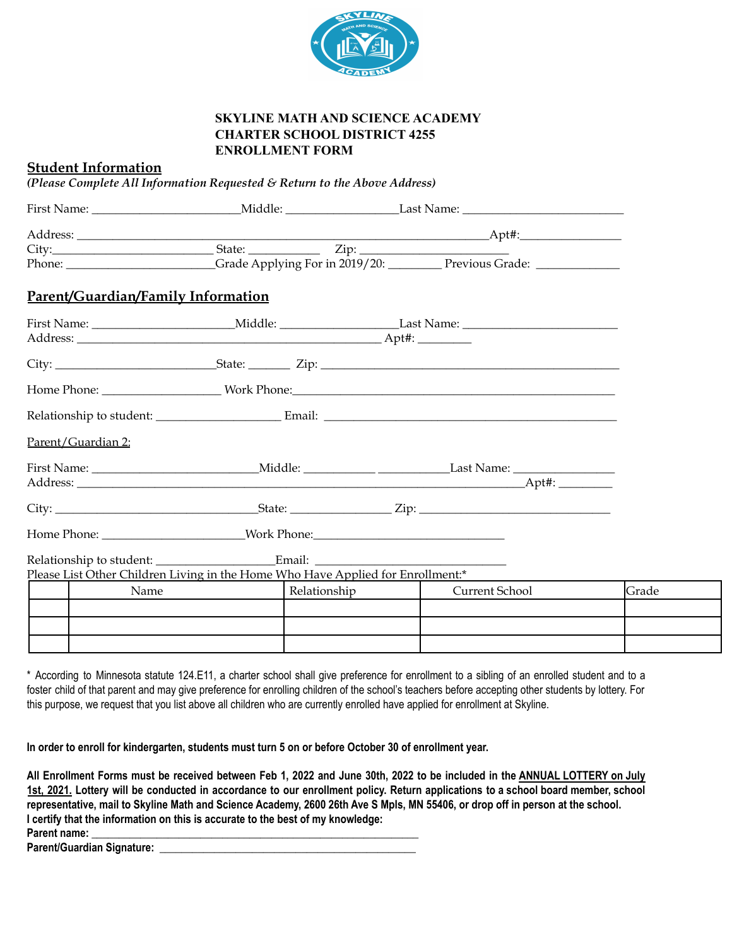

## **SKYLINE MATH AND SCIENCE ACADEMY CHARTER SCHOOL DISTRICT 4255 ENROLLMENT FORM**

## **Student Information**

*(Please Complete All Information Requested & Return to the Above Address)*

|                                    |                                                                                 | Phone: Crade Applying For in 2019/20: Previous Grade: |       |
|------------------------------------|---------------------------------------------------------------------------------|-------------------------------------------------------|-------|
| Parent/Guardian/Family Information |                                                                                 |                                                       |       |
|                                    |                                                                                 |                                                       |       |
|                                    |                                                                                 |                                                       |       |
|                                    |                                                                                 |                                                       |       |
|                                    |                                                                                 |                                                       |       |
| Parent/Guardian 2:                 |                                                                                 |                                                       |       |
|                                    |                                                                                 |                                                       |       |
|                                    |                                                                                 |                                                       |       |
|                                    |                                                                                 |                                                       |       |
|                                    |                                                                                 |                                                       |       |
|                                    |                                                                                 |                                                       |       |
|                                    | Please List Other Children Living in the Home Who Have Applied for Enrollment:* |                                                       | Grade |
| Name                               | Relationship                                                                    | Current School                                        |       |
|                                    |                                                                                 |                                                       |       |
|                                    |                                                                                 |                                                       |       |
|                                    |                                                                                 |                                                       |       |

\* According to Minnesota statute 124.E11, a charter school shall give preference for enrollment to a sibling of an enrolled student and to a foster child of that parent and may give preference for enrolling children of the school's teachers before accepting other students by lottery. For this purpose, we request that you list above all children who are currently enrolled have applied for enrollment at Skyline.

In order to enroll for kindergarten, students must turn 5 on or before October 30 of enrollment year.

All Enrollment Forms must be received between Feb 1, 2022 and June 30th, 2022 to be included in the ANNUAL LOTTERY on July 1st, 2021. Lottery will be conducted in accordance to our enrollment policy. Return applications to a school board member, school representative, mail to Skyline Math and Science Academy, 2600 26th Ave S Mpls, MN 55406, or drop off in person at the school. **I certify that the information on this is accurate to the best of my knowledge: Parent name: \_\_\_\_\_\_\_\_\_\_\_\_\_\_\_\_\_\_\_\_\_\_\_\_\_\_\_\_\_\_\_\_\_\_\_\_\_\_\_\_\_\_\_\_\_\_\_\_\_\_\_\_\_\_\_\_\_\_\_\_**

**Parent/Guardian Signature: \_\_\_\_\_\_\_\_\_\_\_\_\_\_\_\_\_\_\_\_\_\_\_\_\_\_\_\_\_\_\_\_\_\_\_\_\_\_\_\_\_\_\_\_\_\_\_**